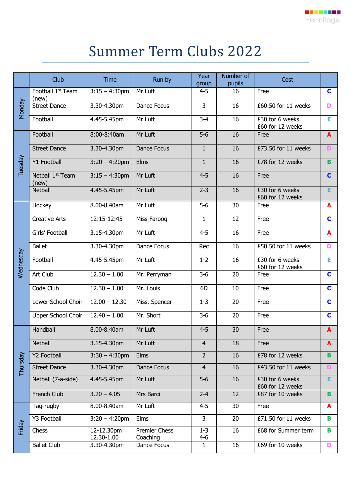## Summer Term Clubs 2022

|           | Club                                   | <b>Time</b>              | Run by                    | Year<br>group      | Number of<br>pupils | Cost                                |              |
|-----------|----------------------------------------|--------------------------|---------------------------|--------------------|---------------------|-------------------------------------|--------------|
| Monday    | Football 1 <sup>st</sup> Team<br>(new) | $3:15 - 4:30$ pm         | Mr Luft                   | $4 - 5$            | 16                  | Free                                | $\mathbf C$  |
|           | <b>Street Dance</b>                    | 3.30-4.30pm              | Dance Focus               | $\overline{3}$     | 16                  | £60.50 for 11 weeks                 | D            |
|           | Football                               | 4.45-5.45pm              | Mr Luft                   | $3 - 4$            | 16                  | £30 for 6 weeks<br>£60 for 12 weeks | Е            |
| Tuesday   | Football                               | 8:00-8:40am              | Mr Luft                   | $5-6$              | 16                  | Free                                | $\mathbf{A}$ |
|           | <b>Street Dance</b>                    | 3.30-4.30pm              | Dance Focus               | $\mathbf{1}$       | 16                  | £73.50 for 11 weeks                 |              |
|           | Y1 Football                            | $3:20 - 4:20$ pm         | Elms                      | $\mathbf{1}$       | 16                  | £78 for 12 weeks                    | B            |
|           | Netball 1 <sup>st</sup> Team<br>(new)  | $3:15 - 4:30$ pm         | Mr Luft                   | $4 - 5$            | 16                  | Free                                | $\mathbf C$  |
|           | <b>Netball</b>                         | 4.45-5.45pm              | Mr Luft                   | $2 - 3$            | 16                  | £30 for 6 weeks<br>£60 for 12 weeks | Е            |
| Vednesday | Hockey                                 | 8.00-8.40am              | Mr Luft                   | $5-6$              | 30                  | Free                                | A            |
|           | <b>Creative Arts</b>                   | 12:15-12:45              | Miss Farooq               | $\mathbf{1}$       | 12                  | Free                                | C            |
|           | Girls' Football                        | 3.15-4.30pm              | Mr Luft                   | $4 - 5$            | 16                  | Free                                | A            |
|           | <b>Ballet</b>                          | 3.30-4.30pm              | Dance Focus               | Rec                | 16                  | £50.50 for 11 weeks                 | D            |
|           | Football                               | 4.45-5.45pm              | Mr Luft                   | $1 - 2$            | 16                  | £30 for 6 weeks<br>£60 for 12 weeks | Е            |
|           | Art Club                               | $12.30 - 1.00$           | Mr. Perryman              | $3-6$              | 20                  | Free                                | C            |
|           | Code Club                              | $12.30 - 1.00$           | Mr. Louis                 | 6D                 | 10                  | Free                                | C            |
|           | Lower School Choir                     | $12.00 - 12.30$          | Miss. Spencer             | $1 - 3$            | 20                  | Free                                | $\mathbf C$  |
|           | Upper School Choir                     | $12.40 - 1.00$           | Mr. Short                 | $3 - 6$            | 20                  | Free                                | $\mathbf C$  |
| Thursday  | Handball                               | 8.00-8.40am              | Mr Luft                   | $4 - 5$            | 30                  | Free                                | $\mathbf{A}$ |
|           | <b>Netball</b>                         | 3.15-4.30pm              | Mr Luft                   | $\overline{4}$     | 18                  | Free                                | A            |
|           | <b>Y2 Football</b>                     | $3:30 - 4:30$ pm         | Elms                      | $\overline{2}$     | 16                  | £78 for 12 weeks                    | <b>B</b>     |
|           | <b>Street Dance</b>                    | 3.30-4.30pm              | Dance Focus               | $\overline{4}$     | 16                  | £43.50 for 11 weeks                 |              |
|           | Netball (7-a-side)                     | 4.45-5.45pm              | Mr Luft                   | $5-6$              | 16                  | £30 for 6 weeks<br>£60 for 12 weeks | E.           |
|           | French Club                            | $3.20 - 4.05$            | Mrs Barci                 | $2 - 4$            | 12                  | £87 for 10 weeks                    | B.           |
| Friday    | Tag-rugby                              | 8.00-8.40am              | Mr Luft                   | $4 - 5$            | 30                  | Free                                | A            |
|           | Y3 Football                            | $3:20 - 4:20$ pm         | Elms                      | $\overline{3}$     | 20                  | £71.50 for 11 weeks                 | B            |
|           | Chess                                  | 12-12.30pm<br>12.30-1.00 | Premier Chess<br>Coaching | $1 - 3$<br>$4 - 6$ | 16                  | £68 for Summer term                 | B            |
|           | <b>Ballet Club</b>                     | 3.30-4.30pm              | Dance Focus               | $\mathbf{1}$       | 16                  | £69 for 10 weeks                    | D            |